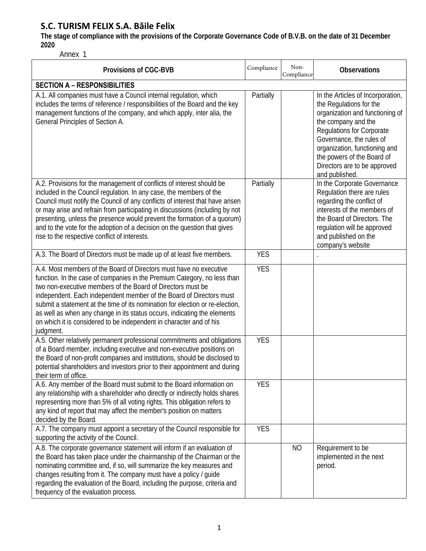**The stage of compliance with the provisions of the Corporate Governance Code of B.V.B. on the date of 31 December 2020**

Annex 1

| <b>Provisions of CGC-BVB</b>                                                                                                                                                                                                                                                                                                                                                                                                                                                                                                          | Compliance | Non-<br>Compliance | <b>Observations</b>                                                                                                                                                                                                                                                                              |
|---------------------------------------------------------------------------------------------------------------------------------------------------------------------------------------------------------------------------------------------------------------------------------------------------------------------------------------------------------------------------------------------------------------------------------------------------------------------------------------------------------------------------------------|------------|--------------------|--------------------------------------------------------------------------------------------------------------------------------------------------------------------------------------------------------------------------------------------------------------------------------------------------|
| <b>SECTION A - RESPONSIBILITIES</b>                                                                                                                                                                                                                                                                                                                                                                                                                                                                                                   |            |                    |                                                                                                                                                                                                                                                                                                  |
| A.1. All companies must have a Council internal regulation, which<br>includes the terms of reference / responsibilities of the Board and the key<br>management functions of the company, and which apply, inter alia, the<br>General Principles of Section A.                                                                                                                                                                                                                                                                         | Partially  |                    | In the Articles of Incorporation,<br>the Regulations for the<br>organization and functioning of<br>the company and the<br>Regulations for Corporate<br>Governance, the rules of<br>organization, functioning and<br>the powers of the Board of<br>Directors are to be approved<br>and published. |
| A.2. Provisions for the management of conflicts of interest should be<br>included in the Council regulation. In any case, the members of the<br>Council must notify the Council of any conflicts of interest that have arisen<br>or may arise and refrain from participating in discussions (including by not<br>presenting, unless the presence would prevent the formation of a quorum)<br>and to the vote for the adoption of a decision on the question that gives<br>rise to the respective conflict of interests.               | Partially  |                    | In the Corporate Governance<br>Regulation there are rules<br>regarding the conflict of<br>interests of the members of<br>the Board of Directors. The<br>regulation will be approved<br>and published on the<br>company's website                                                                 |
| A.3. The Board of Directors must be made up of at least five members.                                                                                                                                                                                                                                                                                                                                                                                                                                                                 | <b>YES</b> |                    |                                                                                                                                                                                                                                                                                                  |
| A.4. Most members of the Board of Directors must have no executive<br>function. In the case of companies in the Premium Category, no less than<br>two non-executive members of the Board of Directors must be<br>independent. Each independent member of the Board of Directors must<br>submit a statement at the time of its nomination for election or re-election,<br>as well as when any change in its status occurs, indicating the elements<br>on which it is considered to be independent in character and of his<br>judgment. | <b>YES</b> |                    |                                                                                                                                                                                                                                                                                                  |
| A.5. Other relatively permanent professional commitments and obligations<br>of a Board member, including executive and non-executive positions on<br>the Board of non-profit companies and institutions, should be disclosed to<br>potential shareholders and investors prior to their appointment and during<br>their term of office.                                                                                                                                                                                                | <b>YES</b> |                    |                                                                                                                                                                                                                                                                                                  |
| A.6. Any member of the Board must submit to the Board information on<br>any relationship with a shareholder who directly or indirectly holds shares<br>representing more than 5% of all voting rights. This obligation refers to<br>any kind of report that may affect the member's position on matters<br>decided by the Board.                                                                                                                                                                                                      | <b>YES</b> |                    |                                                                                                                                                                                                                                                                                                  |
| A.7. The company must appoint a secretary of the Council responsible for<br>supporting the activity of the Council.                                                                                                                                                                                                                                                                                                                                                                                                                   | <b>YES</b> |                    |                                                                                                                                                                                                                                                                                                  |
| A.8. The corporate governance statement will inform if an evaluation of<br>the Board has taken place under the chairmanship of the Chairman or the<br>nominating committee and, if so, will summarize the key measures and<br>changes resulting from it. The company must have a policy / guide<br>regarding the evaluation of the Board, including the purpose, criteria and<br>frequency of the evaluation process.                                                                                                                 |            | <b>NO</b>          | Requirement to be<br>implemented in the next<br>period.                                                                                                                                                                                                                                          |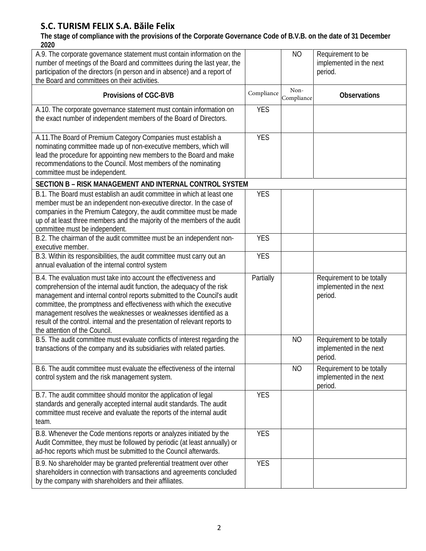**The stage of compliance with the provisions of the Corporate Governance Code of B.V.B. on the date of 31 December 2020**

| A.9. The corporate governance statement must contain information on the<br>number of meetings of the Board and committees during the last year, the<br>participation of the directors (in person and in absence) and a report of<br>the Board and committees on their activities.                                                                                                                                                                                                  |            | <b>NO</b>          | Requirement to be<br>implemented in the next<br>period.         |
|------------------------------------------------------------------------------------------------------------------------------------------------------------------------------------------------------------------------------------------------------------------------------------------------------------------------------------------------------------------------------------------------------------------------------------------------------------------------------------|------------|--------------------|-----------------------------------------------------------------|
| Provisions of CGC-BVB                                                                                                                                                                                                                                                                                                                                                                                                                                                              | Compliance | Non-<br>Compliance | <b>Observations</b>                                             |
| A.10. The corporate governance statement must contain information on<br>the exact number of independent members of the Board of Directors.                                                                                                                                                                                                                                                                                                                                         | <b>YES</b> |                    |                                                                 |
| A.11. The Board of Premium Category Companies must establish a<br>nominating committee made up of non-executive members, which will<br>lead the procedure for appointing new members to the Board and make<br>recommendations to the Council. Most members of the nominating<br>committee must be independent.                                                                                                                                                                     | <b>YES</b> |                    |                                                                 |
| SECTION B - RISK MANAGEMENT AND INTERNAL CONTROL SYSTEM                                                                                                                                                                                                                                                                                                                                                                                                                            |            |                    |                                                                 |
| B.1. The Board must establish an audit committee in which at least one<br>member must be an independent non-executive director. In the case of<br>companies in the Premium Category, the audit committee must be made<br>up of at least three members and the majority of the members of the audit<br>committee must be independent.                                                                                                                                               | <b>YES</b> |                    |                                                                 |
| B.2. The chairman of the audit committee must be an independent non-<br>executive member.                                                                                                                                                                                                                                                                                                                                                                                          | <b>YES</b> |                    |                                                                 |
| B.3. Within its responsibilities, the audit committee must carry out an<br>annual evaluation of the internal control system                                                                                                                                                                                                                                                                                                                                                        | <b>YES</b> |                    |                                                                 |
| B.4. The evaluation must take into account the effectiveness and<br>comprehension of the internal audit function, the adequacy of the risk<br>management and internal control reports submitted to the Council's audit<br>committee, the promptness and effectiveness with which the executive<br>management resolves the weaknesses or weaknesses identified as a<br>result of the control. internal and the presentation of relevant reports to<br>the attention of the Council. | Partially  |                    | Requirement to be totally<br>implemented in the next<br>period. |
| B.5. The audit committee must evaluate conflicts of interest regarding the<br>transactions of the company and its subsidiaries with related parties.                                                                                                                                                                                                                                                                                                                               |            | <b>NO</b>          | Requirement to be totally<br>implemented in the next<br>period. |
| B.6. The audit committee must evaluate the effectiveness of the internal<br>control system and the risk management system.                                                                                                                                                                                                                                                                                                                                                         |            | <b>NO</b>          | Requirement to be totally<br>implemented in the next<br>period. |
| B.7. The audit committee should monitor the application of legal<br>standards and generally accepted internal audit standards. The audit<br>committee must receive and evaluate the reports of the internal audit<br>team.                                                                                                                                                                                                                                                         | <b>YES</b> |                    |                                                                 |
| B.8. Whenever the Code mentions reports or analyzes initiated by the<br>Audit Committee, they must be followed by periodic (at least annually) or<br>ad-hoc reports which must be submitted to the Council afterwards.                                                                                                                                                                                                                                                             | <b>YES</b> |                    |                                                                 |
| B.9. No shareholder may be granted preferential treatment over other<br>shareholders in connection with transactions and agreements concluded<br>by the company with shareholders and their affiliates.                                                                                                                                                                                                                                                                            | <b>YES</b> |                    |                                                                 |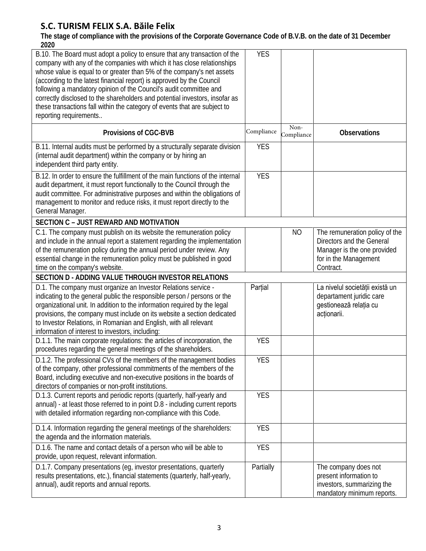**The stage of compliance with the provisions of the Corporate Governance Code of B.V.B. on the date of 31 December 2020**

| B.10. The Board must adopt a policy to ensure that any transaction of the<br>company with any of the companies with which it has close relationships<br>whose value is equal to or greater than 5% of the company's net assets<br>(according to the latest financial report) is approved by the Council<br>following a mandatory opinion of the Council's audit committee and<br>correctly disclosed to the shareholders and potential investors, insofar as<br>these transactions fall within the category of events that are subject to<br>reporting requirements | <b>YES</b> |                    |                                                                                                                                  |
|---------------------------------------------------------------------------------------------------------------------------------------------------------------------------------------------------------------------------------------------------------------------------------------------------------------------------------------------------------------------------------------------------------------------------------------------------------------------------------------------------------------------------------------------------------------------|------------|--------------------|----------------------------------------------------------------------------------------------------------------------------------|
| <b>Provisions of CGC-BVB</b>                                                                                                                                                                                                                                                                                                                                                                                                                                                                                                                                        | Compliance | Non-<br>Compliance | <b>Observations</b>                                                                                                              |
| B.11. Internal audits must be performed by a structurally separate division<br>(internal audit department) within the company or by hiring an<br>independent third party entity.                                                                                                                                                                                                                                                                                                                                                                                    | <b>YES</b> |                    |                                                                                                                                  |
| B.12. In order to ensure the fulfillment of the main functions of the internal<br>audit department, it must report functionally to the Council through the<br>audit committee. For administrative purposes and within the obligations of<br>management to monitor and reduce risks, it must report directly to the<br>General Manager.                                                                                                                                                                                                                              | <b>YES</b> |                    |                                                                                                                                  |
| <b>SECTION C - JUST REWARD AND MOTIVATION</b>                                                                                                                                                                                                                                                                                                                                                                                                                                                                                                                       |            |                    |                                                                                                                                  |
| C.1. The company must publish on its website the remuneration policy<br>and include in the annual report a statement regarding the implementation<br>of the remuneration policy during the annual period under review. Any<br>essential change in the remuneration policy must be published in good<br>time on the company's website.                                                                                                                                                                                                                               |            | N <sub>O</sub>     | The remuneration policy of the<br>Directors and the General<br>Manager is the one provided<br>for in the Management<br>Contract. |
| SECTION D - ADDING VALUE THROUGH INVESTOR RELATIONS                                                                                                                                                                                                                                                                                                                                                                                                                                                                                                                 |            |                    |                                                                                                                                  |
| D.1. The company must organize an Investor Relations service -<br>indicating to the general public the responsible person / persons or the<br>organizational unit. In addition to the information required by the legal<br>provisions, the company must include on its website a section dedicated<br>to Investor Relations, in Romanian and English, with all relevant<br>information of interest to investors, including:                                                                                                                                         | Parțial    |                    | La nivelul societății există un<br>departament juridic care<br>gestionează relația cu<br>acționarii.                             |
| D.1.1. The main corporate regulations: the articles of incorporation, the<br>procedures regarding the general meetings of the shareholders.                                                                                                                                                                                                                                                                                                                                                                                                                         | <b>YES</b> |                    |                                                                                                                                  |
| D.1.2. The professional CVs of the members of the management bodies<br>of the company, other professional commitments of the members of the<br>Board, including executive and non-executive positions in the boards of<br>directors of companies or non-profit institutions.                                                                                                                                                                                                                                                                                        | <b>YES</b> |                    |                                                                                                                                  |
| D.1.3. Current reports and periodic reports (quarterly, half-yearly and<br>annual) - at least those referred to in point D.8 - including current reports<br>with detailed information regarding non-compliance with this Code.                                                                                                                                                                                                                                                                                                                                      | <b>YES</b> |                    |                                                                                                                                  |
| D.1.4. Information regarding the general meetings of the shareholders:<br>the agenda and the information materials.                                                                                                                                                                                                                                                                                                                                                                                                                                                 | <b>YES</b> |                    |                                                                                                                                  |
| D.1.6. The name and contact details of a person who will be able to<br>provide, upon request, relevant information.                                                                                                                                                                                                                                                                                                                                                                                                                                                 | <b>YES</b> |                    |                                                                                                                                  |
| D.1.7. Company presentations (eg, investor presentations, quarterly<br>results presentations, etc.), financial statements (quarterly, half-yearly,<br>annual), audit reports and annual reports.                                                                                                                                                                                                                                                                                                                                                                    | Partially  |                    | The company does not<br>present information to<br>investors, summarizing the<br>mandatory minimum reports.                       |